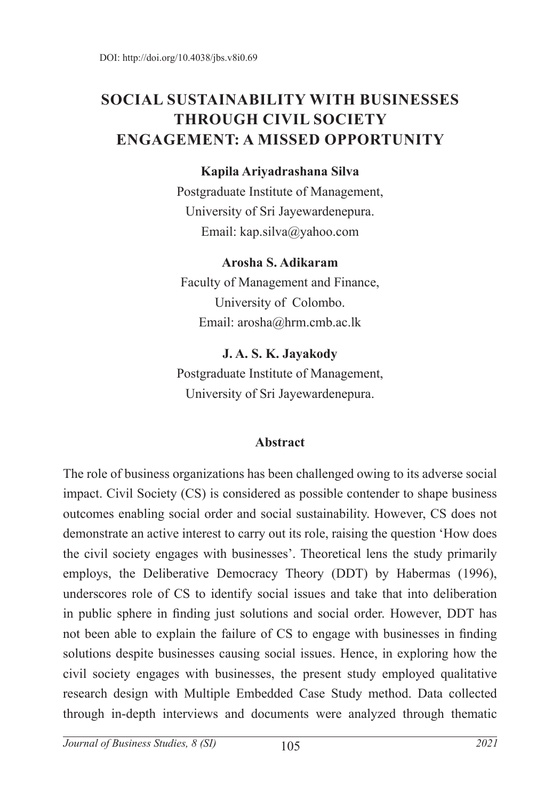# **SOCIAL SUSTAINABILITY WITH BUSINESSES THROUGH CIVIL SOCIETY ENGAGEMENT: A MISSED OPPORTUNITY**

#### **Kapila Ariyadrashana Silva**

Postgraduate Institute of Management, University of Sri Jayewardenepura. Email: kap.silva@yahoo.com

#### **Arosha S. Adikaram**

Faculty of Management and Finance, University of Colombo. Email: arosha@hrm.cmb.ac.lk

#### **J. A. S. K. Jayakody**

Postgraduate Institute of Management, University of Sri Jayewardenepura.

#### **Abstract**

The role of business organizations has been challenged owing to its adverse social impact. Civil Society (CS) is considered as possible contender to shape business outcomes enabling social order and social sustainability. However, CS does not demonstrate an active interest to carry out its role, raising the question 'How does the civil society engages with businesses'. Theoretical lens the study primarily employs, the Deliberative Democracy Theory (DDT) by Habermas (1996), underscores role of CS to identify social issues and take that into deliberation in public sphere in finding just solutions and social order. However, DDT has not been able to explain the failure of CS to engage with businesses in finding solutions despite businesses causing social issues. Hence, in exploring how the civil society engages with businesses, the present study employed qualitative research design with Multiple Embedded Case Study method. Data collected through in-depth interviews and documents were analyzed through thematic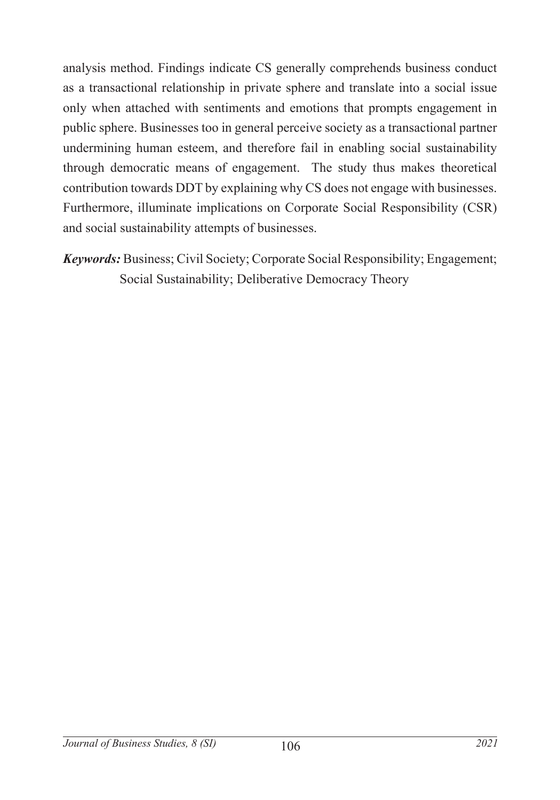analysis method. Findings indicate CS generally comprehends business conduct as a transactional relationship in private sphere and translate into a social issue only when attached with sentiments and emotions that prompts engagement in public sphere. Businesses too in general perceive society as a transactional partner undermining human esteem, and therefore fail in enabling social sustainability through democratic means of engagement. The study thus makes theoretical contribution towards DDT by explaining why CS does not engage with businesses. Furthermore, illuminate implications on Corporate Social Responsibility (CSR) and social sustainability attempts of businesses.

*Keywords:* Business; Civil Society; Corporate Social Responsibility; Engagement; Social Sustainability; Deliberative Democracy Theory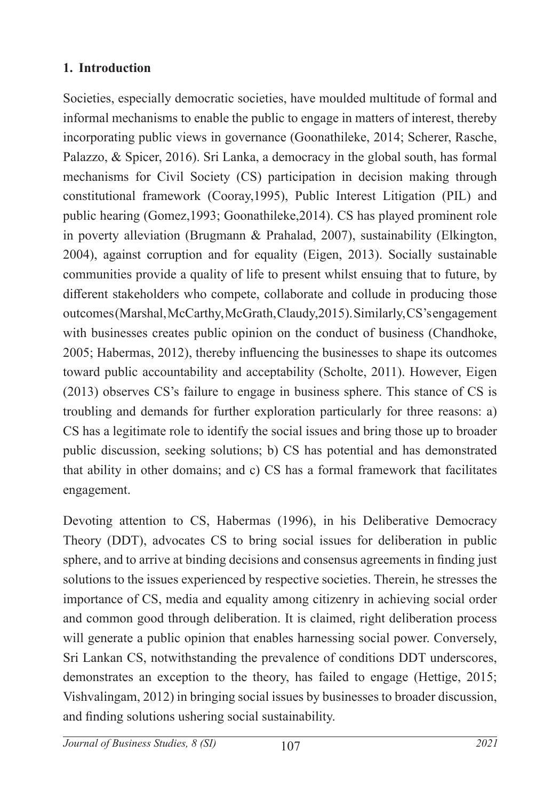#### **1. Introduction**

Societies, especially democratic societies, have moulded multitude of formal and informal mechanisms to enable the public to engage in matters of interest, thereby incorporating public views in governance (Goonathileke, 2014; Scherer, Rasche, Palazzo, & Spicer, 2016). Sri Lanka, a democracy in the global south, has formal mechanisms for Civil Society (CS) participation in decision making through constitutional framework (Cooray,1995), Public Interest Litigation (PIL) and public hearing (Gomez,1993; Goonathileke,2014). CS has played prominent role in poverty alleviation (Brugmann & Prahalad, 2007), sustainability (Elkington, 2004), against corruption and for equality (Eigen, 2013). Socially sustainable communities provide a quality of life to present whilst ensuing that to future, by different stakeholders who compete, collaborate and collude in producing those outcomes (Marshal, McCarthy, McGrath, Claudy,2015). Similarly, CS's engagement with businesses creates public opinion on the conduct of business (Chandhoke, 2005; Habermas, 2012), thereby influencing the businesses to shape its outcomes toward public accountability and acceptability (Scholte, 2011). However, Eigen (2013) observes CS's failure to engage in business sphere. This stance of CS is troubling and demands for further exploration particularly for three reasons: a) CS has a legitimate role to identify the social issues and bring those up to broader public discussion, seeking solutions; b) CS has potential and has demonstrated that ability in other domains; and c) CS has a formal framework that facilitates engagement.

Devoting attention to CS, Habermas (1996), in his Deliberative Democracy Theory (DDT), advocates CS to bring social issues for deliberation in public sphere, and to arrive at binding decisions and consensus agreements in finding just solutions to the issues experienced by respective societies. Therein, he stresses the importance of CS, media and equality among citizenry in achieving social order and common good through deliberation. It is claimed, right deliberation process will generate a public opinion that enables harnessing social power. Conversely, Sri Lankan CS, notwithstanding the prevalence of conditions DDT underscores, demonstrates an exception to the theory, has failed to engage (Hettige, 2015; Vishvalingam, 2012) in bringing social issues by businesses to broader discussion, and finding solutions ushering social sustainability.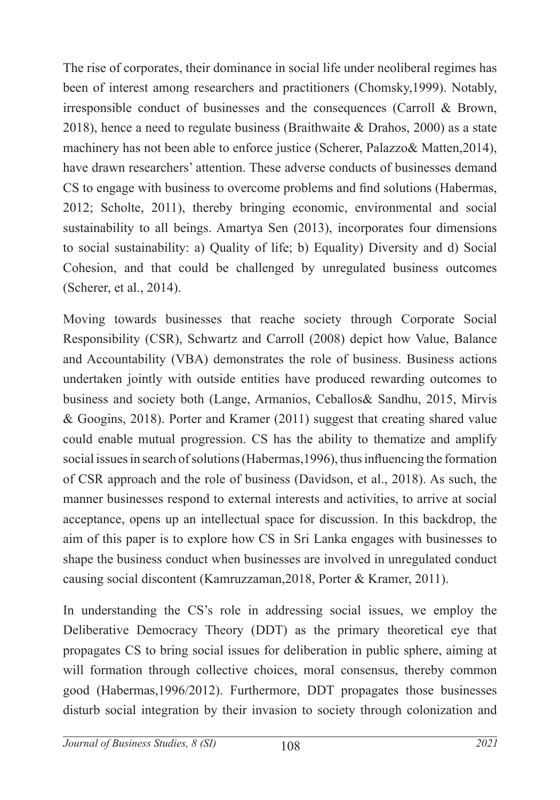The rise of corporates, their dominance in social life under neoliberal regimes has been of interest among researchers and practitioners (Chomsky,1999). Notably, irresponsible conduct of businesses and the consequences (Carroll & Brown, 2018), hence a need to regulate business (Braithwaite & Drahos, 2000) as a state machinery has not been able to enforce justice (Scherer, Palazzo& Matten,2014), have drawn researchers' attention. These adverse conducts of businesses demand CS to engage with business to overcome problems and find solutions (Habermas, 2012; Scholte, 2011), thereby bringing economic, environmental and social sustainability to all beings. Amartya Sen (2013), incorporates four dimensions to social sustainability: a) Quality of life; b) Equality) Diversity and d) Social Cohesion, and that could be challenged by unregulated business outcomes (Scherer, et al., 2014).

Moving towards businesses that reache society through Corporate Social Responsibility (CSR), Schwartz and Carroll (2008) depict how Value, Balance and Accountability (VBA) demonstrates the role of business. Business actions undertaken jointly with outside entities have produced rewarding outcomes to business and society both (Lange, Armanios, Ceballos& Sandhu, 2015, Mirvis & Googins, 2018). Porter and Kramer (2011) suggest that creating shared value could enable mutual progression. CS has the ability to thematize and amplify social issues in search of solutions (Habermas,1996), thus influencing the formation of CSR approach and the role of business (Davidson, et al., 2018). As such, the manner businesses respond to external interests and activities, to arrive at social acceptance, opens up an intellectual space for discussion. In this backdrop, the aim of this paper is to explore how CS in Sri Lanka engages with businesses to shape the business conduct when businesses are involved in unregulated conduct causing social discontent (Kamruzzaman,2018, Porter & Kramer, 2011).

In understanding the CS's role in addressing social issues, we employ the Deliberative Democracy Theory (DDT) as the primary theoretical eye that propagates CS to bring social issues for deliberation in public sphere, aiming at will formation through collective choices, moral consensus, thereby common good (Habermas,1996/2012). Furthermore, DDT propagates those businesses disturb social integration by their invasion to society through colonization and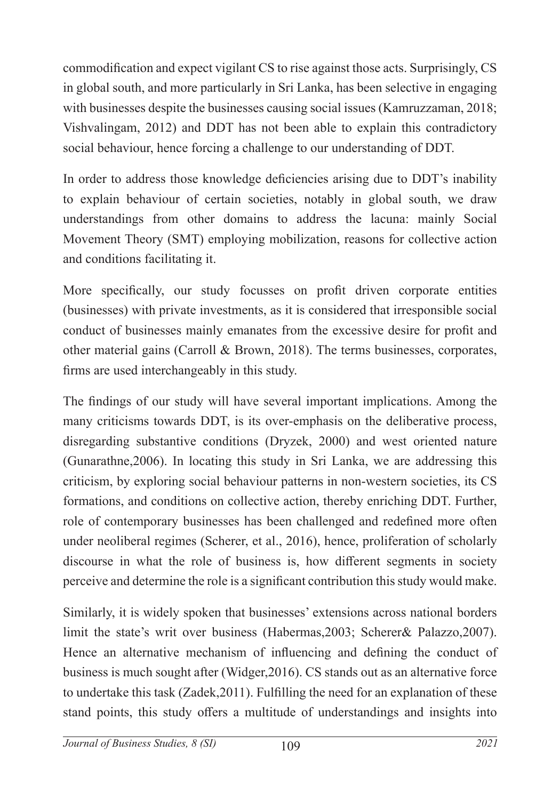commodification and expect vigilant CS to rise against those acts. Surprisingly, CS in global south, and more particularly in Sri Lanka, has been selective in engaging with businesses despite the businesses causing social issues (Kamruzzaman, 2018; Vishvalingam, 2012) and DDT has not been able to explain this contradictory social behaviour, hence forcing a challenge to our understanding of DDT.

In order to address those knowledge deficiencies arising due to DDT's inability to explain behaviour of certain societies, notably in global south, we draw understandings from other domains to address the lacuna: mainly Social Movement Theory (SMT) employing mobilization, reasons for collective action and conditions facilitating it.

More specifically, our study focusses on profit driven corporate entities (businesses) with private investments, as it is considered that irresponsible social conduct of businesses mainly emanates from the excessive desire for profit and other material gains (Carroll & Brown, 2018). The terms businesses, corporates, firms are used interchangeably in this study.

The findings of our study will have several important implications. Among the many criticisms towards DDT, is its over-emphasis on the deliberative process, disregarding substantive conditions (Dryzek, 2000) and west oriented nature (Gunarathne,2006). In locating this study in Sri Lanka, we are addressing this criticism, by exploring social behaviour patterns in non-western societies, its CS formations, and conditions on collective action, thereby enriching DDT. Further, role of contemporary businesses has been challenged and redefined more often under neoliberal regimes (Scherer, et al., 2016), hence, proliferation of scholarly discourse in what the role of business is, how different segments in society perceive and determine the role is a significant contribution this study would make.

Similarly, it is widely spoken that businesses' extensions across national borders limit the state's writ over business (Habermas,2003; Scherer& Palazzo,2007). Hence an alternative mechanism of influencing and defining the conduct of business is much sought after (Widger,2016). CS stands out as an alternative force to undertake this task (Zadek,2011). Fulfilling the need for an explanation of these stand points, this study offers a multitude of understandings and insights into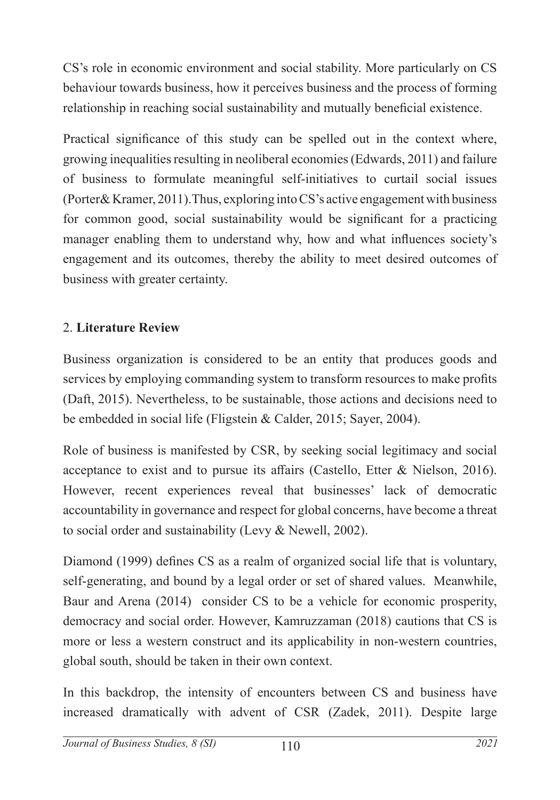CS's role in economic environment and social stability. More particularly on CS behaviour towards business, how it perceives business and the process of forming relationship in reaching social sustainability and mutually beneficial existence.

Practical significance of this study can be spelled out in the context where, growing inequalities resulting in neoliberal economies (Edwards, 2011) and failure of business to formulate meaningful self-initiatives to curtail social issues (Porter& Kramer, 2011).Thus, exploring into CS's active engagement with business for common good, social sustainability would be significant for a practicing manager enabling them to understand why, how and what influences society's engagement and its outcomes, thereby the ability to meet desired outcomes of business with greater certainty.

### 2. **Literature Review**

Business organization is considered to be an entity that produces goods and services by employing commanding system to transform resources to make profits (Daft, 2015). Nevertheless, to be sustainable, those actions and decisions need to be embedded in social life (Fligstein & Calder, 2015; Sayer, 2004).

Role of business is manifested by CSR, by seeking social legitimacy and social acceptance to exist and to pursue its affairs (Castello, Etter & Nielson, 2016). However, recent experiences reveal that businesses' lack of democratic accountability in governance and respect for global concerns, have become a threat to social order and sustainability (Levy & Newell, 2002).

Diamond (1999) defines CS as a realm of organized social life that is voluntary, self-generating, and bound by a legal order or set of shared values. Meanwhile, Baur and Arena (2014) consider CS to be a vehicle for economic prosperity, democracy and social order. However, Kamruzzaman (2018) cautions that CS is more or less a western construct and its applicability in non-western countries, global south, should be taken in their own context.

In this backdrop, the intensity of encounters between CS and business have increased dramatically with advent of CSR (Zadek, 2011). Despite large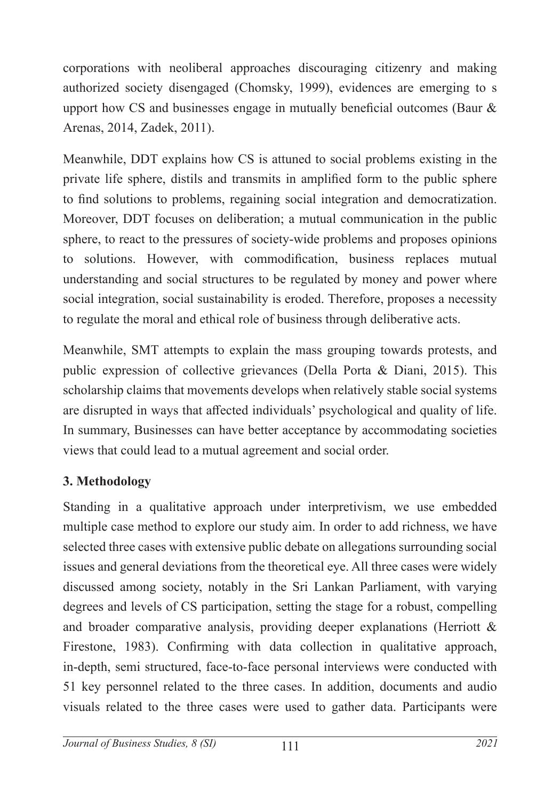corporations with neoliberal approaches discouraging citizenry and making authorized society disengaged (Chomsky, 1999), evidences are emerging to s upport how CS and businesses engage in mutually beneficial outcomes (Baur & Arenas, 2014, Zadek, 2011).

Meanwhile, DDT explains how CS is attuned to social problems existing in the private life sphere, distils and transmits in amplified form to the public sphere to find solutions to problems, regaining social integration and democratization. Moreover, DDT focuses on deliberation; a mutual communication in the public sphere, to react to the pressures of society-wide problems and proposes opinions to solutions. However, with commodification, business replaces mutual understanding and social structures to be regulated by money and power where social integration, social sustainability is eroded. Therefore, proposes a necessity to regulate the moral and ethical role of business through deliberative acts.

Meanwhile, SMT attempts to explain the mass grouping towards protests, and public expression of collective grievances (Della Porta & Diani, 2015). This scholarship claims that movements develops when relatively stable social systems are disrupted in ways that affected individuals' psychological and quality of life. In summary, Businesses can have better acceptance by accommodating societies views that could lead to a mutual agreement and social order.

### **3. Methodology**

Standing in a qualitative approach under interpretivism, we use embedded multiple case method to explore our study aim. In order to add richness, we have selected three cases with extensive public debate on allegations surrounding social issues and general deviations from the theoretical eye. All three cases were widely discussed among society, notably in the Sri Lankan Parliament, with varying degrees and levels of CS participation, setting the stage for a robust, compelling and broader comparative analysis, providing deeper explanations (Herriott & Firestone, 1983). Confirming with data collection in qualitative approach, in-depth, semi structured, face-to-face personal interviews were conducted with 51 key personnel related to the three cases. In addition, documents and audio visuals related to the three cases were used to gather data. Participants were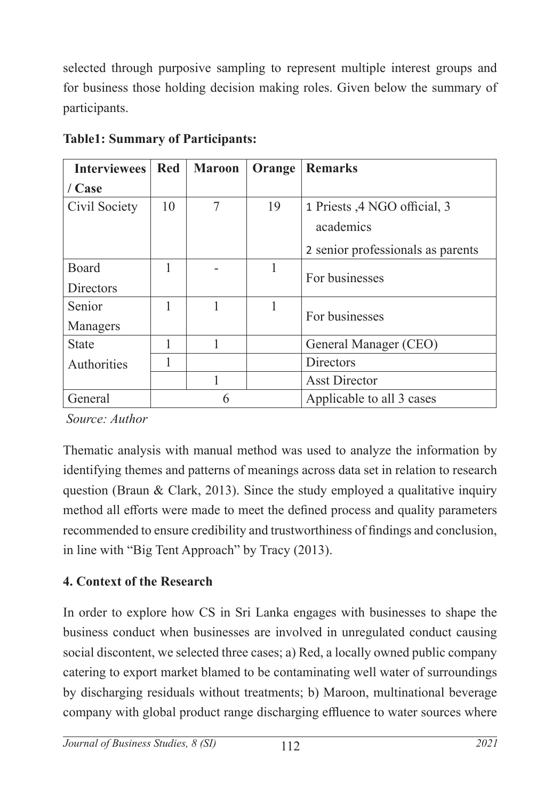selected through purposive sampling to represent multiple interest groups and for business those holding decision making roles. Given below the summary of participants.

| <b>Interviewees</b> | <b>Red</b> | <b>Maroon</b> | Orange | <b>Remarks</b>                    |
|---------------------|------------|---------------|--------|-----------------------------------|
| / Case              |            |               |        |                                   |
| Civil Society       | 10         | 7             | 19     | 1 Priests ,4 NGO official, 3      |
|                     |            |               |        | academics                         |
|                     |            |               |        | 2 senior professionals as parents |
| Board               |            |               |        | For businesses                    |
| <b>Directors</b>    |            |               |        |                                   |
| Senior              |            | 1             | 1      | For businesses                    |
| Managers            |            |               |        |                                   |
| <b>State</b>        |            |               |        | General Manager (CEO)             |
| Authorities         |            |               |        | Directors                         |
|                     |            |               |        | <b>Asst Director</b>              |
| General             |            | 6             |        | Applicable to all 3 cases         |

**Table1: Summary of Participants:** 

 *Source: Author* 

Thematic analysis with manual method was used to analyze the information by identifying themes and patterns of meanings across data set in relation to research question (Braun & Clark, 2013). Since the study employed a qualitative inquiry method all efforts were made to meet the defined process and quality parameters recommended to ensure credibility and trustworthiness of findings and conclusion, in line with "Big Tent Approach" by Tracy (2013).

# **4. Context of the Research**

In order to explore how CS in Sri Lanka engages with businesses to shape the business conduct when businesses are involved in unregulated conduct causing social discontent, we selected three cases; a) Red, a locally owned public company catering to export market blamed to be contaminating well water of surroundings by discharging residuals without treatments; b) Maroon, multinational beverage company with global product range discharging effluence to water sources where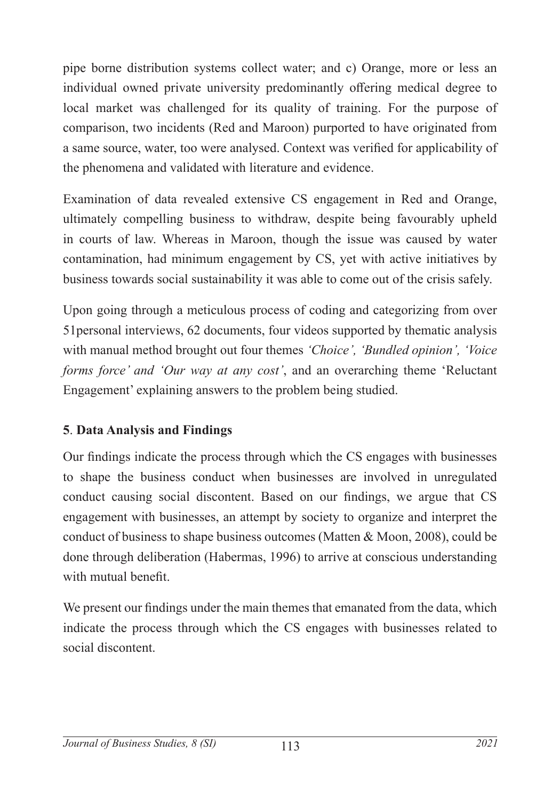pipe borne distribution systems collect water; and c) Orange, more or less an individual owned private university predominantly offering medical degree to local market was challenged for its quality of training. For the purpose of comparison, two incidents (Red and Maroon) purported to have originated from a same source, water, too were analysed. Context was verified for applicability of the phenomena and validated with literature and evidence.

Examination of data revealed extensive CS engagement in Red and Orange, ultimately compelling business to withdraw, despite being favourably upheld in courts of law. Whereas in Maroon, though the issue was caused by water contamination, had minimum engagement by CS, yet with active initiatives by business towards social sustainability it was able to come out of the crisis safely.

Upon going through a meticulous process of coding and categorizing from over 51personal interviews, 62 documents, four videos supported by thematic analysis with manual method brought out four themes *'Choice', 'Bundled opinion', 'Voice forms force' and 'Our way at any cost'*, and an overarching theme 'Reluctant Engagement' explaining answers to the problem being studied.

### **5**. **Data Analysis and Findings**

Our findings indicate the process through which the CS engages with businesses to shape the business conduct when businesses are involved in unregulated conduct causing social discontent. Based on our findings, we argue that CS engagement with businesses, an attempt by society to organize and interpret the conduct of business to shape business outcomes (Matten & Moon, 2008), could be done through deliberation (Habermas, 1996) to arrive at conscious understanding with mutual benefit.

We present our findings under the main themes that emanated from the data, which indicate the process through which the CS engages with businesses related to social discontent.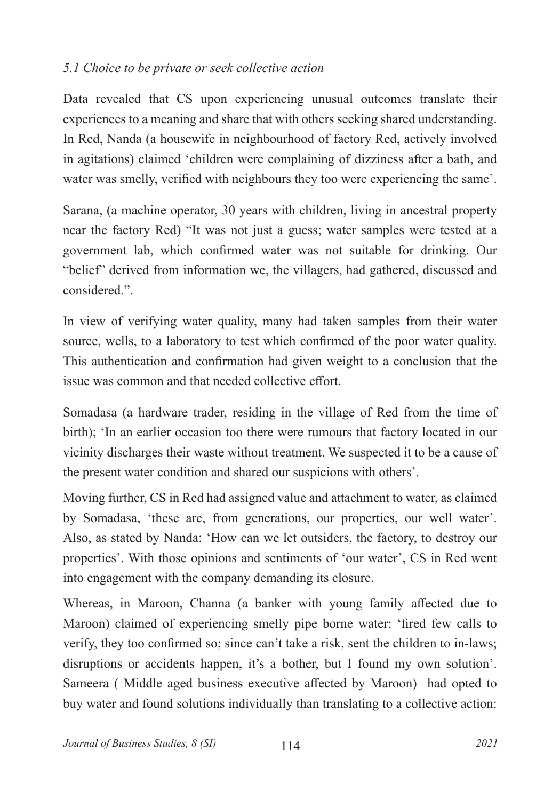### *5.1 Choice to be private or seek collective action*

Data revealed that CS upon experiencing unusual outcomes translate their experiences to a meaning and share that with others seeking shared understanding. In Red, Nanda (a housewife in neighbourhood of factory Red, actively involved in agitations) claimed 'children were complaining of dizziness after a bath, and water was smelly, verified with neighbours they too were experiencing the same'.

Sarana, (a machine operator, 30 years with children, living in ancestral property near the factory Red) "It was not just a guess; water samples were tested at a government lab, which confirmed water was not suitable for drinking. Our "belief" derived from information we, the villagers, had gathered, discussed and considered.".

In view of verifying water quality, many had taken samples from their water source, wells, to a laboratory to test which confirmed of the poor water quality. This authentication and confirmation had given weight to a conclusion that the issue was common and that needed collective effort.

Somadasa (a hardware trader, residing in the village of Red from the time of birth); 'In an earlier occasion too there were rumours that factory located in our vicinity discharges their waste without treatment. We suspected it to be a cause of the present water condition and shared our suspicions with others'.

Moving further, CS in Red had assigned value and attachment to water, as claimed by Somadasa, 'these are, from generations, our properties, our well water'. Also, as stated by Nanda: 'How can we let outsiders, the factory, to destroy our properties'. With those opinions and sentiments of 'our water', CS in Red went into engagement with the company demanding its closure.

Whereas, in Maroon, Channa (a banker with young family affected due to Maroon) claimed of experiencing smelly pipe borne water: 'fired few calls to verify, they too confirmed so; since can't take a risk, sent the children to in-laws; disruptions or accidents happen, it's a bother, but I found my own solution'. Sameera ( Middle aged business executive affected by Maroon) had opted to buy water and found solutions individually than translating to a collective action: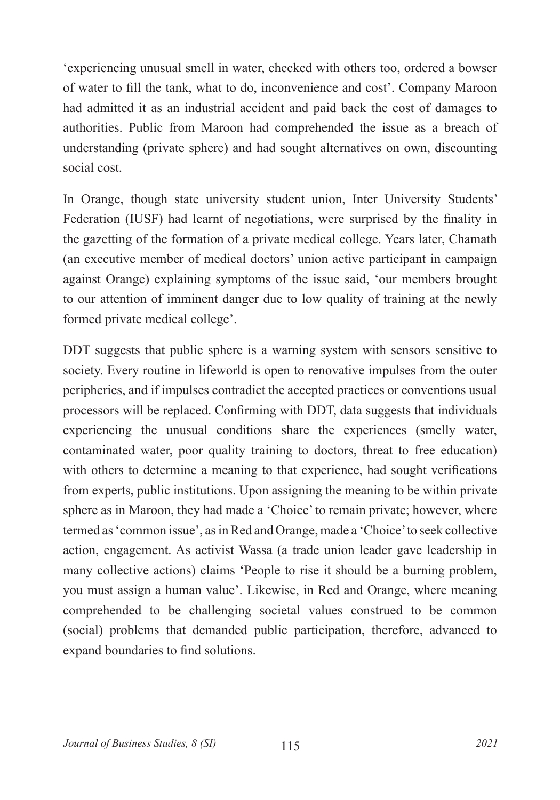'experiencing unusual smell in water, checked with others too, ordered a bowser of water to fill the tank, what to do, inconvenience and cost'. Company Maroon had admitted it as an industrial accident and paid back the cost of damages to authorities. Public from Maroon had comprehended the issue as a breach of understanding (private sphere) and had sought alternatives on own, discounting social cost.

In Orange, though state university student union, Inter University Students' Federation (IUSF) had learnt of negotiations, were surprised by the finality in the gazetting of the formation of a private medical college. Years later, Chamath (an executive member of medical doctors' union active participant in campaign against Orange) explaining symptoms of the issue said, 'our members brought to our attention of imminent danger due to low quality of training at the newly formed private medical college'.

DDT suggests that public sphere is a warning system with sensors sensitive to society. Every routine in lifeworld is open to renovative impulses from the outer peripheries, and if impulses contradict the accepted practices or conventions usual processors will be replaced. Confirming with DDT, data suggests that individuals experiencing the unusual conditions share the experiences (smelly water, contaminated water, poor quality training to doctors, threat to free education) with others to determine a meaning to that experience, had sought verifications from experts, public institutions. Upon assigning the meaning to be within private sphere as in Maroon, they had made a 'Choice' to remain private; however, where termed as 'common issue', as in Red and Orange, made a 'Choice' to seek collective action, engagement. As activist Wassa (a trade union leader gave leadership in many collective actions) claims 'People to rise it should be a burning problem, you must assign a human value'. Likewise, in Red and Orange, where meaning comprehended to be challenging societal values construed to be common (social) problems that demanded public participation, therefore, advanced to expand boundaries to find solutions.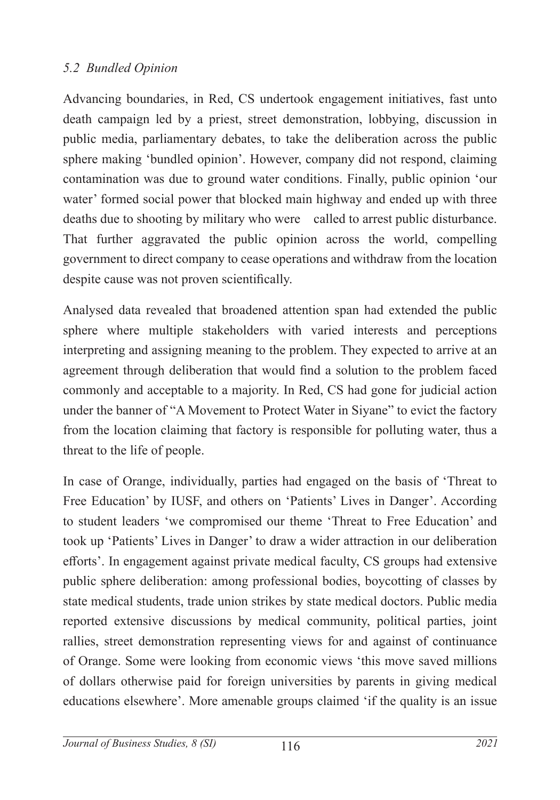#### *5.2 Bundled Opinion*

Advancing boundaries, in Red, CS undertook engagement initiatives, fast unto death campaign led by a priest, street demonstration, lobbying, discussion in public media, parliamentary debates, to take the deliberation across the public sphere making 'bundled opinion'. However, company did not respond, claiming contamination was due to ground water conditions. Finally, public opinion 'our water' formed social power that blocked main highway and ended up with three deaths due to shooting by military who were called to arrest public disturbance. That further aggravated the public opinion across the world, compelling government to direct company to cease operations and withdraw from the location despite cause was not proven scientifically.

Analysed data revealed that broadened attention span had extended the public sphere where multiple stakeholders with varied interests and perceptions interpreting and assigning meaning to the problem. They expected to arrive at an agreement through deliberation that would find a solution to the problem faced commonly and acceptable to a majority. In Red, CS had gone for judicial action under the banner of "A Movement to Protect Water in Siyane" to evict the factory from the location claiming that factory is responsible for polluting water, thus a threat to the life of people.

In case of Orange, individually, parties had engaged on the basis of 'Threat to Free Education' by IUSF, and others on 'Patients' Lives in Danger'. According to student leaders 'we compromised our theme 'Threat to Free Education' and took up 'Patients' Lives in Danger' to draw a wider attraction in our deliberation efforts'. In engagement against private medical faculty, CS groups had extensive public sphere deliberation: among professional bodies, boycotting of classes by state medical students, trade union strikes by state medical doctors. Public media reported extensive discussions by medical community, political parties, joint rallies, street demonstration representing views for and against of continuance of Orange. Some were looking from economic views 'this move saved millions of dollars otherwise paid for foreign universities by parents in giving medical educations elsewhere'. More amenable groups claimed 'if the quality is an issue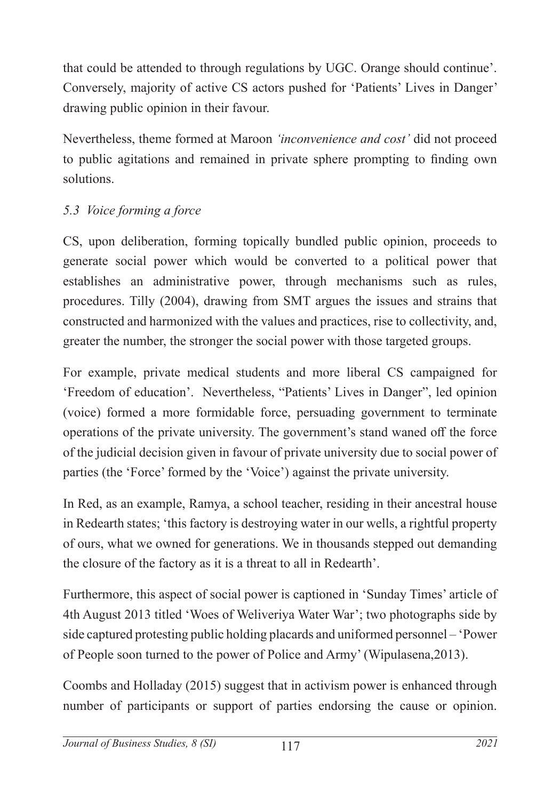that could be attended to through regulations by UGC. Orange should continue'. Conversely, majority of active CS actors pushed for 'Patients' Lives in Danger' drawing public opinion in their favour.

Nevertheless, theme formed at Maroon *'inconvenience and cost'* did not proceed to public agitations and remained in private sphere prompting to finding own solutions.

# *5.3 Voice forming a force*

CS, upon deliberation, forming topically bundled public opinion, proceeds to generate social power which would be converted to a political power that establishes an administrative power, through mechanisms such as rules, procedures. Tilly (2004), drawing from SMT argues the issues and strains that constructed and harmonized with the values and practices, rise to collectivity, and, greater the number, the stronger the social power with those targeted groups.

For example, private medical students and more liberal CS campaigned for 'Freedom of education'. Nevertheless, "Patients' Lives in Danger", led opinion (voice) formed a more formidable force, persuading government to terminate operations of the private university. The government's stand waned off the force of the judicial decision given in favour of private university due to social power of parties (the 'Force' formed by the 'Voice') against the private university.

In Red, as an example, Ramya, a school teacher, residing in their ancestral house in Redearth states; 'this factory is destroying water in our wells, a rightful property of ours, what we owned for generations. We in thousands stepped out demanding the closure of the factory as it is a threat to all in Redearth'.

Furthermore, this aspect of social power is captioned in 'Sunday Times' article of 4th August 2013 titled 'Woes of Weliveriya Water War'; two photographs side by side captured protesting public holding placards and uniformed personnel – 'Power of People soon turned to the power of Police and Army' (Wipulasena,2013).

Coombs and Holladay (2015) suggest that in activism power is enhanced through number of participants or support of parties endorsing the cause or opinion.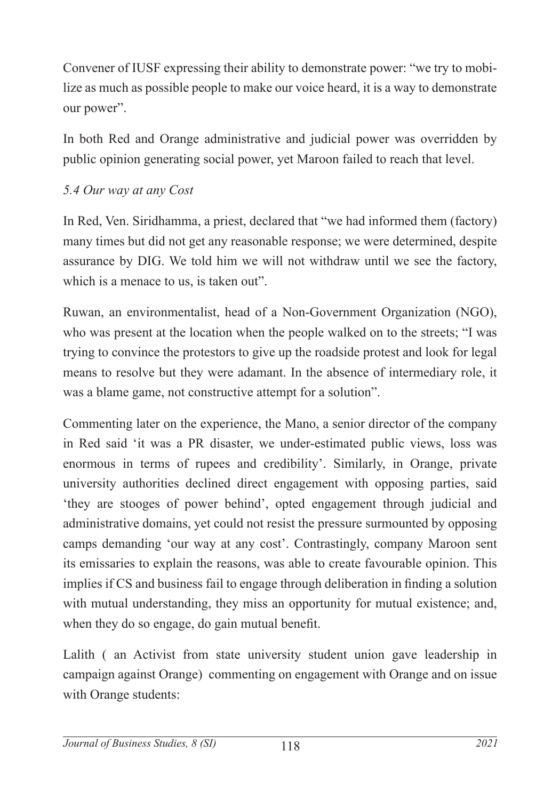Convener of IUSF expressing their ability to demonstrate power: "we try to mobilize as much as possible people to make our voice heard, it is a way to demonstrate our power".

In both Red and Orange administrative and judicial power was overridden by public opinion generating social power, yet Maroon failed to reach that level.

### *5.4 Our way at any Cost*

In Red, Ven. Siridhamma, a priest, declared that "we had informed them (factory) many times but did not get any reasonable response; we were determined, despite assurance by DIG. We told him we will not withdraw until we see the factory, which is a menace to us, is taken out".

Ruwan, an environmentalist, head of a Non-Government Organization (NGO), who was present at the location when the people walked on to the streets; "I was trying to convince the protestors to give up the roadside protest and look for legal means to resolve but they were adamant. In the absence of intermediary role, it was a blame game, not constructive attempt for a solution".

Commenting later on the experience, the Mano, a senior director of the company in Red said 'it was a PR disaster, we under-estimated public views, loss was enormous in terms of rupees and credibility'. Similarly, in Orange, private university authorities declined direct engagement with opposing parties, said 'they are stooges of power behind', opted engagement through judicial and administrative domains, yet could not resist the pressure surmounted by opposing camps demanding 'our way at any cost'. Contrastingly, company Maroon sent its emissaries to explain the reasons, was able to create favourable opinion. This implies if CS and business fail to engage through deliberation in finding a solution with mutual understanding, they miss an opportunity for mutual existence; and, when they do so engage, do gain mutual benefit.

Lalith ( an Activist from state university student union gave leadership in campaign against Orange) commenting on engagement with Orange and on issue with Orange students: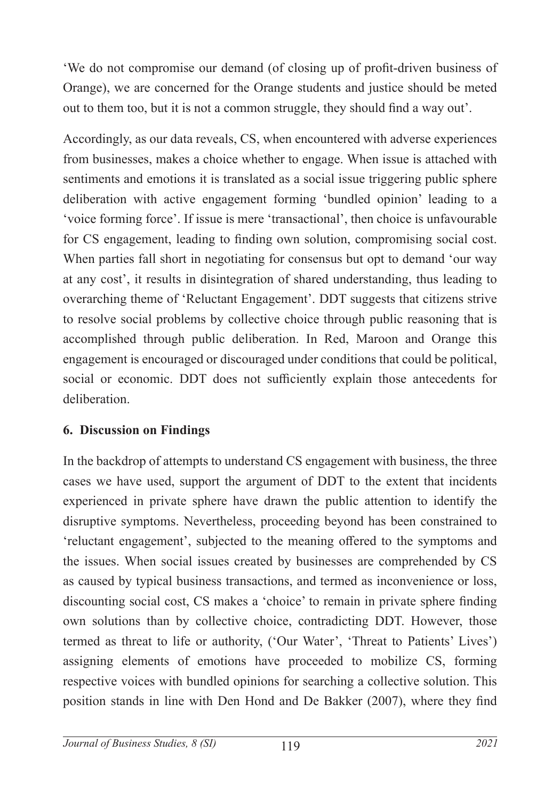'We do not compromise our demand (of closing up of profit-driven business of Orange), we are concerned for the Orange students and justice should be meted out to them too, but it is not a common struggle, they should find a way out'.

Accordingly, as our data reveals, CS, when encountered with adverse experiences from businesses, makes a choice whether to engage. When issue is attached with sentiments and emotions it is translated as a social issue triggering public sphere deliberation with active engagement forming 'bundled opinion' leading to a 'voice forming force'. If issue is mere 'transactional', then choice is unfavourable for CS engagement, leading to finding own solution, compromising social cost. When parties fall short in negotiating for consensus but opt to demand 'our way at any cost', it results in disintegration of shared understanding, thus leading to overarching theme of 'Reluctant Engagement'. DDT suggests that citizens strive to resolve social problems by collective choice through public reasoning that is accomplished through public deliberation. In Red, Maroon and Orange this engagement is encouraged or discouraged under conditions that could be political, social or economic. DDT does not sufficiently explain those antecedents for deliberation.

### **6. Discussion on Findings**

In the backdrop of attempts to understand CS engagement with business, the three cases we have used, support the argument of DDT to the extent that incidents experienced in private sphere have drawn the public attention to identify the disruptive symptoms. Nevertheless, proceeding beyond has been constrained to 'reluctant engagement', subjected to the meaning offered to the symptoms and the issues. When social issues created by businesses are comprehended by CS as caused by typical business transactions, and termed as inconvenience or loss, discounting social cost, CS makes a 'choice' to remain in private sphere finding own solutions than by collective choice, contradicting DDT. However, those termed as threat to life or authority, ('Our Water', 'Threat to Patients' Lives') assigning elements of emotions have proceeded to mobilize CS, forming respective voices with bundled opinions for searching a collective solution. This position stands in line with Den Hond and De Bakker (2007), where they find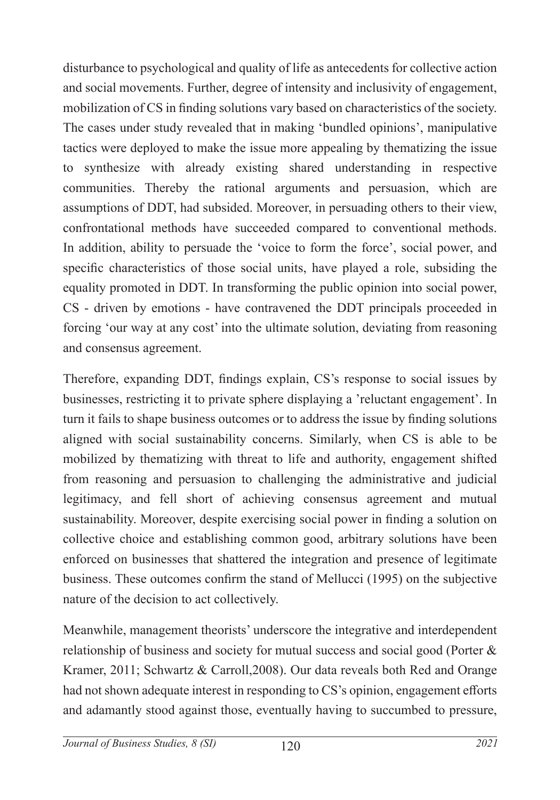disturbance to psychological and quality of life as antecedents for collective action and social movements. Further, degree of intensity and inclusivity of engagement, mobilization of CS in finding solutions vary based on characteristics of the society. The cases under study revealed that in making 'bundled opinions', manipulative tactics were deployed to make the issue more appealing by thematizing the issue to synthesize with already existing shared understanding in respective communities. Thereby the rational arguments and persuasion, which are assumptions of DDT, had subsided. Moreover, in persuading others to their view, confrontational methods have succeeded compared to conventional methods. In addition, ability to persuade the 'voice to form the force', social power, and specific characteristics of those social units, have played a role, subsiding the equality promoted in DDT. In transforming the public opinion into social power, CS - driven by emotions - have contravened the DDT principals proceeded in forcing 'our way at any cost' into the ultimate solution, deviating from reasoning and consensus agreement.

Therefore, expanding DDT, findings explain, CS's response to social issues by businesses, restricting it to private sphere displaying a 'reluctant engagement'. In turn it fails to shape business outcomes or to address the issue by finding solutions aligned with social sustainability concerns. Similarly, when CS is able to be mobilized by thematizing with threat to life and authority, engagement shifted from reasoning and persuasion to challenging the administrative and judicial legitimacy, and fell short of achieving consensus agreement and mutual sustainability. Moreover, despite exercising social power in finding a solution on collective choice and establishing common good, arbitrary solutions have been enforced on businesses that shattered the integration and presence of legitimate business. These outcomes confirm the stand of Mellucci (1995) on the subjective nature of the decision to act collectively.

Meanwhile, management theorists' underscore the integrative and interdependent relationship of business and society for mutual success and social good (Porter & Kramer, 2011; Schwartz & Carroll,2008). Our data reveals both Red and Orange had not shown adequate interest in responding to CS's opinion, engagement efforts and adamantly stood against those, eventually having to succumbed to pressure,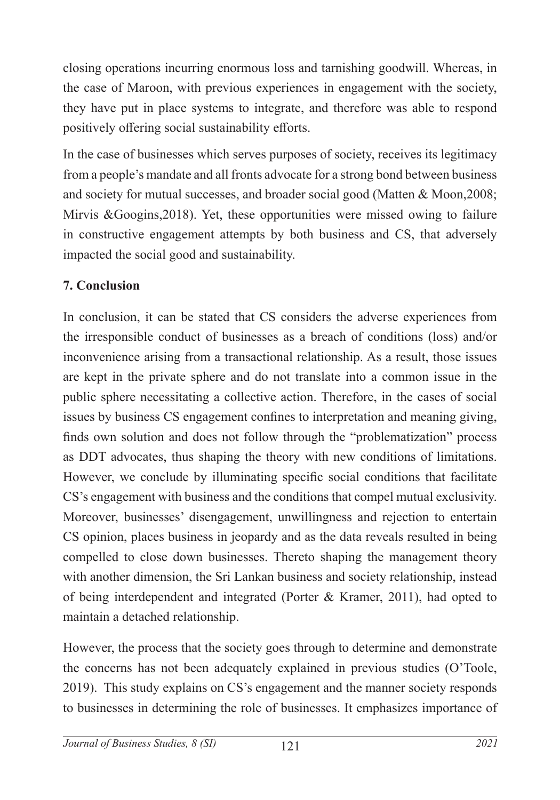closing operations incurring enormous loss and tarnishing goodwill. Whereas, in the case of Maroon, with previous experiences in engagement with the society, they have put in place systems to integrate, and therefore was able to respond positively offering social sustainability efforts.

In the case of businesses which serves purposes of society, receives its legitimacy from a people's mandate and all fronts advocate for a strong bond between business and society for mutual successes, and broader social good (Matten & Moon,2008; Mirvis &Googins,2018). Yet, these opportunities were missed owing to failure in constructive engagement attempts by both business and CS, that adversely impacted the social good and sustainability.

### **7. Conclusion**

In conclusion, it can be stated that CS considers the adverse experiences from the irresponsible conduct of businesses as a breach of conditions (loss) and/or inconvenience arising from a transactional relationship. As a result, those issues are kept in the private sphere and do not translate into a common issue in the public sphere necessitating a collective action. Therefore, in the cases of social issues by business CS engagement confines to interpretation and meaning giving, finds own solution and does not follow through the "problematization" process as DDT advocates, thus shaping the theory with new conditions of limitations. However, we conclude by illuminating specific social conditions that facilitate CS's engagement with business and the conditions that compel mutual exclusivity. Moreover, businesses' disengagement, unwillingness and rejection to entertain CS opinion, places business in jeopardy and as the data reveals resulted in being compelled to close down businesses. Thereto shaping the management theory with another dimension, the Sri Lankan business and society relationship, instead of being interdependent and integrated (Porter & Kramer, 2011), had opted to maintain a detached relationship.

However, the process that the society goes through to determine and demonstrate the concerns has not been adequately explained in previous studies (O'Toole, 2019). This study explains on CS's engagement and the manner society responds to businesses in determining the role of businesses. It emphasizes importance of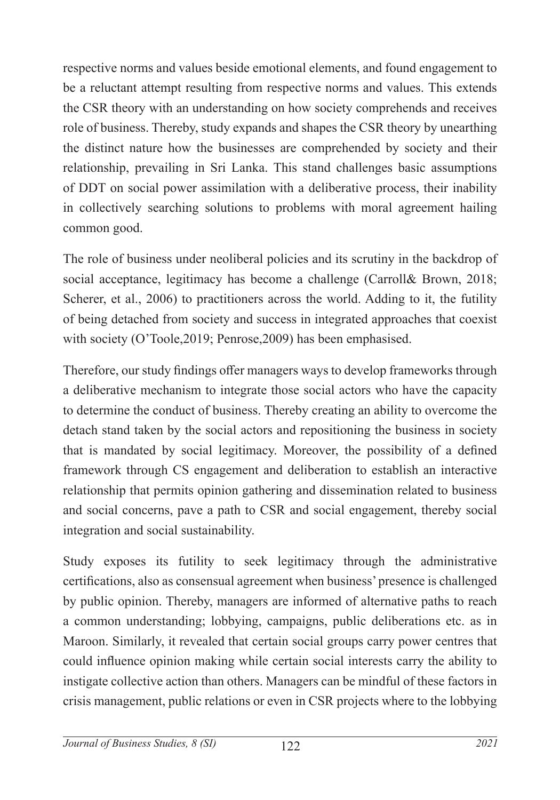respective norms and values beside emotional elements, and found engagement to be a reluctant attempt resulting from respective norms and values. This extends the CSR theory with an understanding on how society comprehends and receives role of business. Thereby, study expands and shapes the CSR theory by unearthing the distinct nature how the businesses are comprehended by society and their relationship, prevailing in Sri Lanka. This stand challenges basic assumptions of DDT on social power assimilation with a deliberative process, their inability in collectively searching solutions to problems with moral agreement hailing common good.

The role of business under neoliberal policies and its scrutiny in the backdrop of social acceptance, legitimacy has become a challenge (Carroll& Brown, 2018; Scherer, et al., 2006) to practitioners across the world. Adding to it, the futility of being detached from society and success in integrated approaches that coexist with society (O'Toole,2019; Penrose,2009) has been emphasised.

Therefore, our study findings offer managers ways to develop frameworks through a deliberative mechanism to integrate those social actors who have the capacity to determine the conduct of business. Thereby creating an ability to overcome the detach stand taken by the social actors and repositioning the business in society that is mandated by social legitimacy. Moreover, the possibility of a defined framework through CS engagement and deliberation to establish an interactive relationship that permits opinion gathering and dissemination related to business and social concerns, pave a path to CSR and social engagement, thereby social integration and social sustainability.

Study exposes its futility to seek legitimacy through the administrative certifications, also as consensual agreement when business' presence is challenged by public opinion. Thereby, managers are informed of alternative paths to reach a common understanding; lobbying, campaigns, public deliberations etc. as in Maroon. Similarly, it revealed that certain social groups carry power centres that could influence opinion making while certain social interests carry the ability to instigate collective action than others. Managers can be mindful of these factors in crisis management, public relations or even in CSR projects where to the lobbying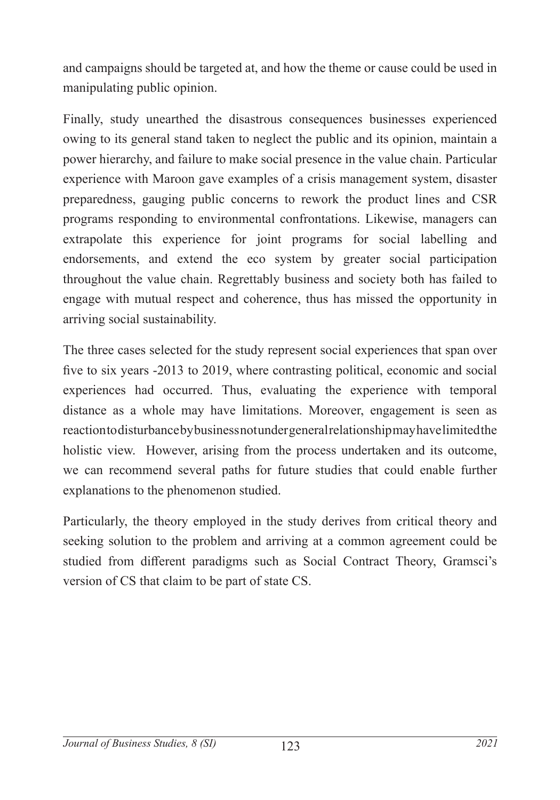and campaigns should be targeted at, and how the theme or cause could be used in manipulating public opinion.

Finally, study unearthed the disastrous consequences businesses experienced owing to its general stand taken to neglect the public and its opinion, maintain a power hierarchy, and failure to make social presence in the value chain. Particular experience with Maroon gave examples of a crisis management system, disaster preparedness, gauging public concerns to rework the product lines and CSR programs responding to environmental confrontations. Likewise, managers can extrapolate this experience for joint programs for social labelling and endorsements, and extend the eco system by greater social participation throughout the value chain. Regrettably business and society both has failed to engage with mutual respect and coherence, thus has missed the opportunity in arriving social sustainability.

The three cases selected for the study represent social experiences that span over five to six years -2013 to 2019, where contrasting political, economic and social experiences had occurred. Thus, evaluating the experience with temporal distance as a whole may have limitations. Moreover, engagement is seen as reaction to disturbance by business not under general relationship may have limited the holistic view. However, arising from the process undertaken and its outcome, we can recommend several paths for future studies that could enable further explanations to the phenomenon studied.

Particularly, the theory employed in the study derives from critical theory and seeking solution to the problem and arriving at a common agreement could be studied from different paradigms such as Social Contract Theory, Gramsci's version of CS that claim to be part of state CS.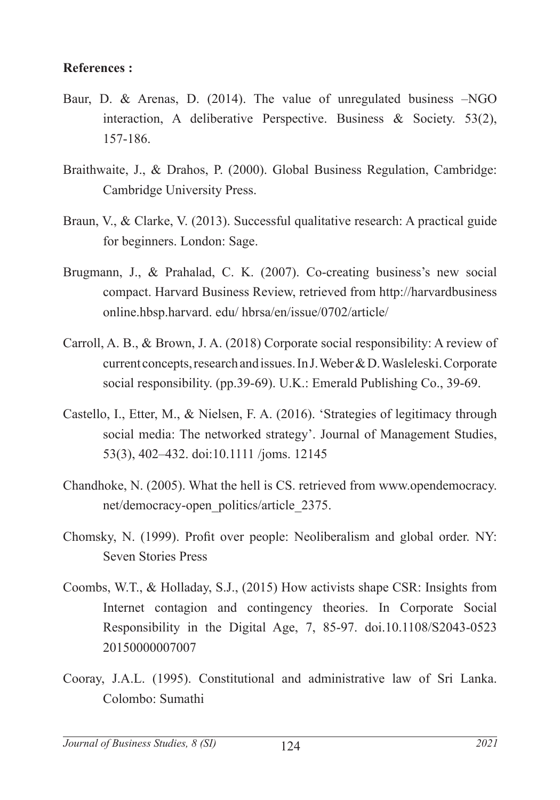#### **References :**

- Baur, D. & Arenas, D. (2014). The value of unregulated business –NGO interaction, A deliberative Perspective. Business & Society. 53(2), 157-186.
- Braithwaite, J., & Drahos, P. (2000). Global Business Regulation, Cambridge: Cambridge University Press.
- Braun, V., & Clarke, V. (2013). Successful qualitative research: A practical guide for beginners. London: Sage.
- Brugmann, J., & Prahalad, C. K. (2007). Co-creating business's new social compact. Harvard Business Review, retrieved from http://harvardbusiness online.hbsp.harvard. edu/ hbrsa/en/issue/0702/article/
- Carroll, A. B., & Brown, J. A. (2018) Corporate social responsibility: A review of current concepts, research and issues. In J. Weber & D. Wasleleski. Corporate social responsibility. (pp.39-69). U.K.: Emerald Publishing Co., 39-69.
- Castello, I., Etter, M., & Nielsen, F. A. (2016). 'Strategies of legitimacy through social media: The networked strategy'. Journal of Management Studies, 53(3), 402–432. doi:10.1111 /joms. 12145
- Chandhoke, N. (2005). What the hell is CS. retrieved from www.opendemocracy. net/democracy-open\_politics/article\_2375.
- Chomsky, N. (1999). Profit over people: Neoliberalism and global order. NY: Seven Stories Press
- Coombs, W.T., & Holladay, S.J., (2015) How activists shape CSR: Insights from Internet contagion and contingency theories. In Corporate Social Responsibility in the Digital Age, 7, 85-97. doi.10.1108/S2043-0523 20150000007007
- Cooray, J.A.L. (1995). Constitutional and administrative law of Sri Lanka. Colombo: Sumathi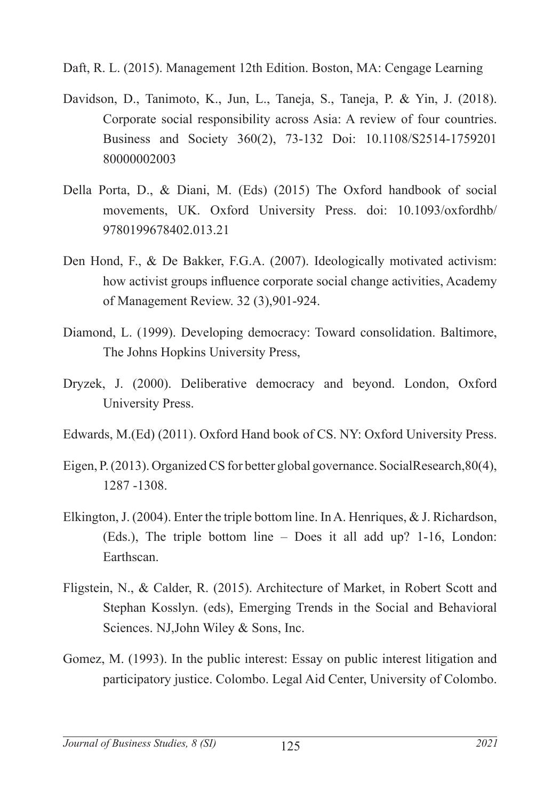Daft, R. L. (2015). Management 12th Edition. Boston, MA: Cengage Learning

- Davidson, D., Tanimoto, K., Jun, L., Taneja, S., Taneja, P. & Yin, J. (2018). Corporate social responsibility across Asia: A review of four countries. Business and Society 360(2), 73-132 Doi: 10.1108/S2514-1759201 80000002003
- Della Porta, D., & Diani, M. (Eds) (2015) The Oxford handbook of social movements, UK. Oxford University Press. doi: 10.1093/oxfordhb/ 9780199678402.013.21
- Den Hond, F., & De Bakker, F.G.A. (2007). Ideologically motivated activism: how activist groups influence corporate social change activities, Academy of Management Review. 32 (3),901-924.
- Diamond, L. (1999). Developing democracy: Toward consolidation. Baltimore, The Johns Hopkins University Press,
- Dryzek, J. (2000). Deliberative democracy and beyond. London, Oxford University Press.
- Edwards, M.(Ed) (2011). Oxford Hand book of CS. NY: Oxford University Press.
- Eigen, P. (2013). Organized CS for better global governance. SocialResearch,80(4), 1287 -1308.
- Elkington, J. (2004). Enter the triple bottom line. In A. Henriques, & J. Richardson, (Eds.), The triple bottom line – Does it all add up? 1-16, London: Earthscan.
- Fligstein, N., & Calder, R. (2015). Architecture of Market, in Robert Scott and Stephan Kosslyn. (eds), Emerging Trends in the Social and Behavioral Sciences. NJ,John Wiley & Sons, Inc.
- Gomez, M. (1993). In the public interest: Essay on public interest litigation and participatory justice. Colombo. Legal Aid Center, University of Colombo.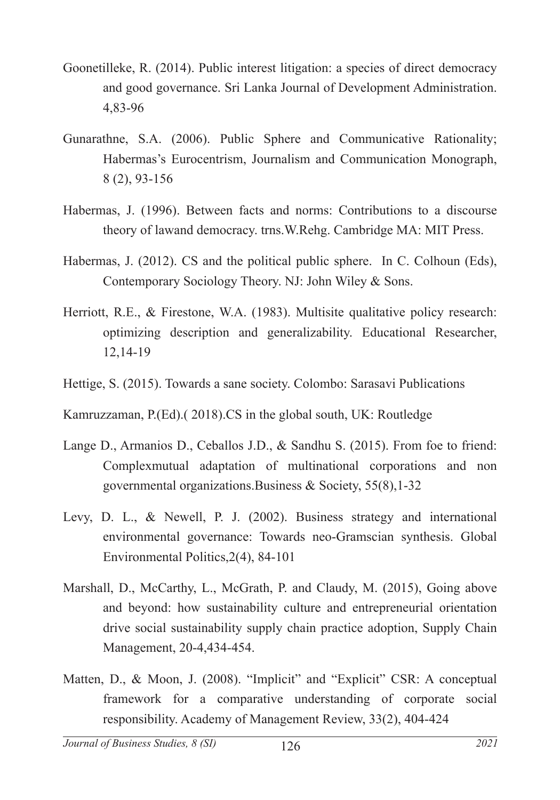- Goonetilleke, R. (2014). Public interest litigation: a species of direct democracy and good governance. Sri Lanka Journal of Development Administration. 4,83-96
- Gunarathne, S.A. (2006). Public Sphere and Communicative Rationality; Habermas's Eurocentrism, Journalism and Communication Monograph, 8 (2), 93-156
- Habermas, J. (1996). Between facts and norms: Contributions to a discourse theory of lawand democracy. trns.W.Rehg. Cambridge MA: MIT Press.
- Habermas, J. (2012). CS and the political public sphere. In C. Colhoun (Eds), Contemporary Sociology Theory. NJ: John Wiley & Sons.
- Herriott, R.E., & Firestone, W.A. (1983). Multisite qualitative policy research: optimizing description and generalizability. Educational Researcher, 12,14-19
- Hettige, S. (2015). Towards a sane society. Colombo: Sarasavi Publications

Kamruzzaman, P.(Ed).( 2018).CS in the global south, UK: Routledge

- Lange D., Armanios D., Ceballos J.D., & Sandhu S. (2015). From foe to friend: Complexmutual adaptation of multinational corporations and non governmental organizations.Business & Society, 55(8),1-32
- Levy, D. L., & Newell, P. J. (2002). Business strategy and international environmental governance: Towards neo-Gramscian synthesis. Global Environmental Politics,2(4), 84-101
- Marshall, D., McCarthy, L., McGrath, P. and Claudy, M. (2015), Going above and beyond: how sustainability culture and entrepreneurial orientation drive social sustainability supply chain practice adoption, Supply Chain Management, 20-4,434-454.
- Matten, D., & Moon, J. (2008). "Implicit" and "Explicit" CSR: A conceptual framework for a comparative understanding of corporate social responsibility. Academy of Management Review, 33(2), 404-424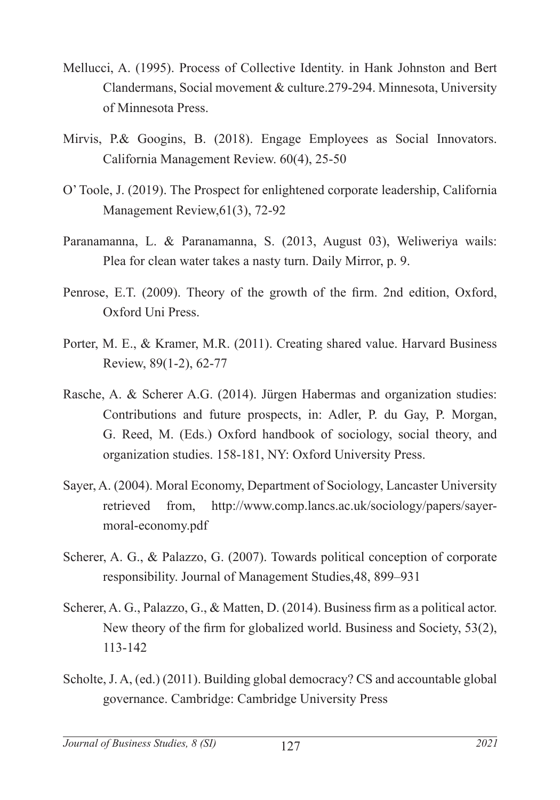- Mellucci, A. (1995). Process of Collective Identity. in Hank Johnston and Bert Clandermans, Social movement & culture.279-294. Minnesota, University of Minnesota Press.
- Mirvis, P.& Googins, B. (2018). Engage Employees as Social Innovators. California Management Review. 60(4), 25-50
- O' Toole, J. (2019). The Prospect for enlightened corporate leadership, California Management Review,61(3), 72-92
- Paranamanna, L. & Paranamanna, S. (2013, August 03), Weliweriya wails: Plea for clean water takes a nasty turn. Daily Mirror, p. 9.
- Penrose, E.T. (2009). Theory of the growth of the firm. 2nd edition, Oxford, Oxford Uni Press.
- Porter, M. E., & Kramer, M.R. (2011). Creating shared value. Harvard Business Review, 89(1-2), 62-77
- Rasche, A. & Scherer A.G. (2014). Jürgen Habermas and organization studies: Contributions and future prospects, in: Adler, P. du Gay, P. Morgan, G. Reed, M. (Eds.) Oxford handbook of sociology, social theory, and organization studies. 158-181, NY: Oxford University Press.
- Sayer, A. (2004). Moral Economy, Department of Sociology, Lancaster University retrieved from, http://www.comp.lancs.ac.uk/sociology/papers/sayermoral-economy.pdf
- Scherer, A. G., & Palazzo, G. (2007). Towards political conception of corporate responsibility. Journal of Management Studies,48, 899–931
- Scherer, A. G., Palazzo, G., & Matten, D. (2014). Business firm as a political actor. New theory of the firm for globalized world. Business and Society, 53(2), 113-142
- Scholte, J. A, (ed.) (2011). Building global democracy? CS and accountable global governance. Cambridge: Cambridge University Press